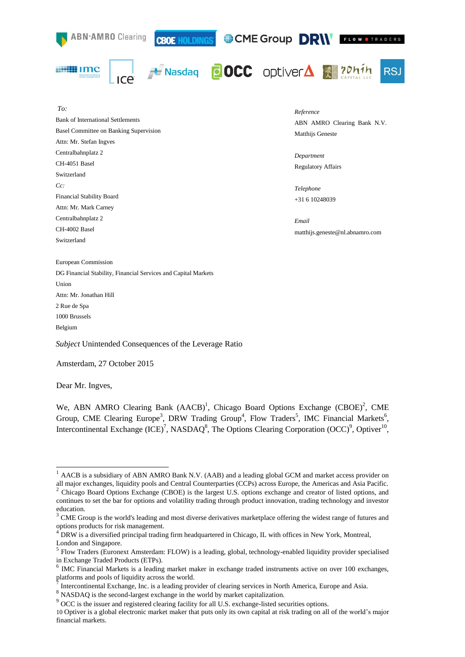

Dear Mr. Ingves,

-

We, ABN AMRO Clearing Bank (AACB)<sup>1</sup>, Chicago Board Options Exchange (CBOE)<sup>2</sup>, CME Group, CME Clearing Europe<sup>3</sup>, DRW Trading Group<sup>4</sup>, Flow Traders<sup>5</sup>, IMC Financial Markets<sup>6</sup>, Intercontinental Exchange (ICE)<sup>7</sup>, NASDAQ<sup>8</sup>, The Options Clearing Corporation (OCC)<sup>9</sup>, Optiver<sup>10</sup>,

<sup>&</sup>lt;sup>1</sup> AACB is a subsidiary of ABN AMRO Bank N.V. (AAB) and a leading global GCM and market access provider on all major exchanges, liquidity pools and Central Counterparties (CCPs) across Europe, the Americas and Asia Pacific. 2 Chicago Board Options Exchange (CBOE) is the largest U.S. options exchange and creator of listed options, and

continues to set the bar for options and volatility trading through product innovation, trading technology and investor education. 3

CME Group is the world's leading and most diverse derivatives marketplace offering the widest range of futures and options products for risk management.

<sup>4</sup> DRW is a diversified principal trading firm headquartered in Chicago, IL with offices in New York, Montreal, London and Singapore.

<sup>&</sup>lt;sup>5</sup> Flow Traders (Euronext Amsterdam: FLOW) is a leading, global, technology-enabled liquidity provider specialised in Exchange Traded Products (ETPs).

<sup>&</sup>lt;sup>6</sup> IMC Financial Markets is a leading market maker in exchange traded instruments active on over 100 exchanges, platforms and pools of liquidity across the world.

Intercontinental Exchange, Inc. is a leading provider of clearing services in North America, Europe and Asia.

<sup>8</sup> NASDAQ is the second-largest exchange in the world by market capitalization.

<sup>&</sup>lt;sup>9</sup> OCC is the issuer and registered clearing facility for all U.S. exchange-listed securities options.

<sup>10</sup> Optiver is a global electronic market maker that puts only its own capital at risk trading on all of the world's major financial markets.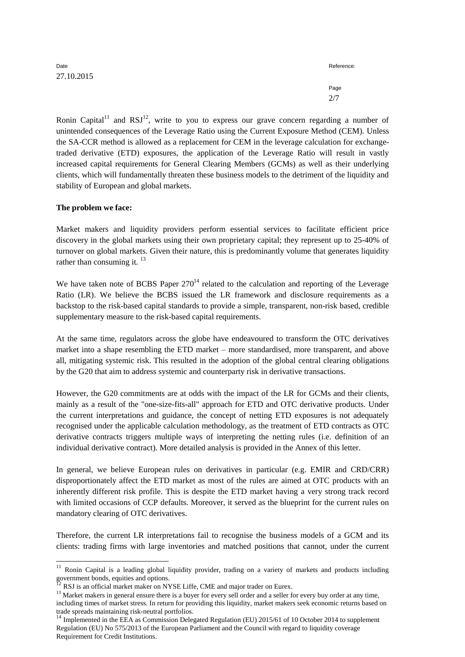| Date       | Reference: |
|------------|------------|
| 27.10.2015 |            |
|            | Page       |
|            | 2/7        |

Ronin Capital<sup>11</sup> and RSJ<sup>12</sup>, write to you to express our grave concern regarding a number of unintended consequences of the Leverage Ratio using the Current Exposure Method (CEM). Unless the SA-CCR method is allowed as a replacement for CEM in the leverage calculation for exchangetraded derivative (ETD) exposures, the application of the Leverage Ratio will result in vastly increased capital requirements for General Clearing Members (GCMs) as well as their underlying clients, which will fundamentally threaten these business models to the detriment of the liquidity and stability of European and global markets.

## **The problem we face:**

-

Market makers and liquidity providers perform essential services to facilitate efficient price discovery in the global markets using their own proprietary capital; they represent up to 25-40% of turnover on global markets. Given their nature, this is predominantly volume that generates liquidity rather than consuming it.  $^{13}$ 

We have taken note of BCBS Paper  $270<sup>14</sup>$  related to the calculation and reporting of the Leverage Ratio (LR). We believe the BCBS issued the LR framework and disclosure requirements as a backstop to the risk-based capital standards to provide a simple, transparent, non-risk based, credible supplementary measure to the risk-based capital requirements.

At the same time, regulators across the globe have endeavoured to transform the OTC derivatives market into a shape resembling the ETD market – more standardised, more transparent, and above all, mitigating systemic risk. This resulted in the adoption of the global central clearing obligations by the G20 that aim to address systemic and counterparty risk in derivative transactions.

However, the G20 commitments are at odds with the impact of the LR for GCMs and their clients, mainly as a result of the "one-size-fits-all" approach for ETD and OTC derivative products. Under the current interpretations and guidance, the concept of netting ETD exposures is not adequately recognised under the applicable calculation methodology, as the treatment of ETD contracts as OTC derivative contracts triggers multiple ways of interpreting the netting rules (i.e. definition of an individual derivative contract). More detailed analysis is provided in the Annex of this letter.

In general, we believe European rules on derivatives in particular (e.g. EMIR and CRD/CRR) disproportionately affect the ETD market as most of the rules are aimed at OTC products with an inherently different risk profile. This is despite the ETD market having a very strong track record with limited occasions of CCP defaults. Moreover, it served as the blueprint for the current rules on mandatory clearing of OTC derivatives.

Therefore, the current LR interpretations fail to recognise the business models of a GCM and its clients: trading firms with large inventories and matched positions that cannot, under the current

 $11$  Ronin Capital is a leading global liquidity provider, trading on a variety of markets and products including government bonds, equities and options.

RSJ is an official market maker on NYSE Liffe, CME and major trader on Eurex.

<sup>&</sup>lt;sup>13</sup> Market makers in general ensure there is a buyer for every sell order and a seller for every buy order at any time, including times of market stress. In return for providing this liquidity, market makers seek economic returns based on trade spreads maintaining risk-neutral portfolios.

<sup>&</sup>lt;sup>14</sup> Implemented in the EEA as Commission Delegated Regulation (EU) 2015/61 of 10 October 2014 to supplement Regulation (EU) No 575/2013 of the European Parliament and the Council with regard to liquidity coverage Requirement for Credit Institutions.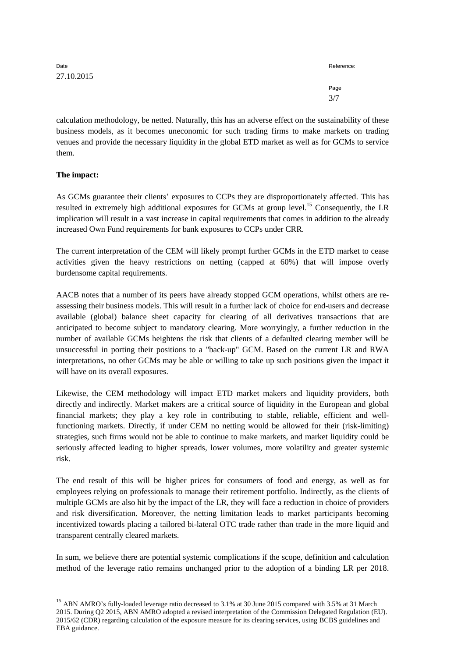| Date       | Reference: |
|------------|------------|
| 27.10.2015 |            |
|            | Page       |
|            | 3/7        |

calculation methodology, be netted. Naturally, this has an adverse effect on the sustainability of these business models, as it becomes uneconomic for such trading firms to make markets on trading venues and provide the necessary liquidity in the global ETD market as well as for GCMs to service them.

## **The impact:**

<u>.</u>

As GCMs guarantee their clients' exposures to CCPs they are disproportionately affected. This has resulted in extremely high additional exposures for GCMs at group level.<sup>15</sup> Consequently, the LR implication will result in a vast increase in capital requirements that comes in addition to the already increased Own Fund requirements for bank exposures to CCPs under CRR.

The current interpretation of the CEM will likely prompt further GCMs in the ETD market to cease activities given the heavy restrictions on netting (capped at 60%) that will impose overly burdensome capital requirements.

AACB notes that a number of its peers have already stopped GCM operations, whilst others are reassessing their business models. This will result in a further lack of choice for end-users and decrease available (global) balance sheet capacity for clearing of all derivatives transactions that are anticipated to become subject to mandatory clearing. More worryingly, a further reduction in the number of available GCMs heightens the risk that clients of a defaulted clearing member will be unsuccessful in porting their positions to a "back-up" GCM. Based on the current LR and RWA interpretations, no other GCMs may be able or willing to take up such positions given the impact it will have on its overall exposures.

Likewise, the CEM methodology will impact ETD market makers and liquidity providers, both directly and indirectly. Market makers are a critical source of liquidity in the European and global financial markets; they play a key role in contributing to stable, reliable, efficient and wellfunctioning markets. Directly, if under CEM no netting would be allowed for their (risk-limiting) strategies, such firms would not be able to continue to make markets, and market liquidity could be seriously affected leading to higher spreads, lower volumes, more volatility and greater systemic risk.

The end result of this will be higher prices for consumers of food and energy, as well as for employees relying on professionals to manage their retirement portfolio. Indirectly, as the clients of multiple GCMs are also hit by the impact of the LR, they will face a reduction in choice of providers and risk diversification. Moreover, the netting limitation leads to market participants becoming incentivized towards placing a tailored bi-lateral OTC trade rather than trade in the more liquid and transparent centrally cleared markets.

In sum, we believe there are potential systemic complications if the scope, definition and calculation method of the leverage ratio remains unchanged prior to the adoption of a binding LR per 2018.

<sup>&</sup>lt;sup>15</sup> ABN AMRO's fully-loaded leverage ratio decreased to 3.1% at 30 June 2015 compared with 3.5% at 31 March 2015. During Q2 2015, ABN AMRO adopted a revised interpretation of the Commission Delegated Regulation (EU). 2015/62 (CDR) regarding calculation of the exposure measure for its clearing services, using BCBS guidelines and EBA guidance.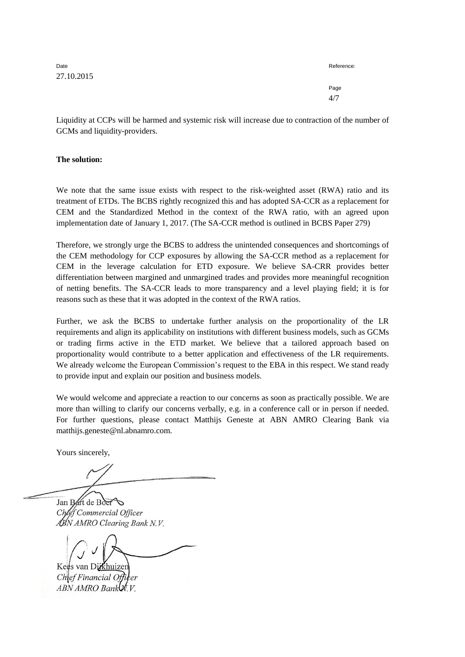Date **Reference:** 27.10.2015

Page 4/7

Liquidity at CCPs will be harmed and systemic risk will increase due to contraction of the number of GCMs and liquidity-providers.

**The solution:**

We note that the same issue exists with respect to the risk-weighted asset (RWA) ratio and its treatment of ETDs. The BCBS rightly recognized this and has adopted SA-CCR as a replacement for CEM and the Standardized Method in the context of the RWA ratio, with an agreed upon implementation date of January 1, 2017. (The SA-CCR method is outlined in BCBS Paper 279)

Therefore, we strongly urge the BCBS to address the unintended consequences and shortcomings of the CEM methodology for CCP exposures by allowing the SA-CCR method as a replacement for CEM in the leverage calculation for ETD exposure. We believe SA-CRR provides better differentiation between margined and unmargined trades and provides more meaningful recognition of netting benefits. The SA-CCR leads to more transparency and a level playing field; it is for reasons such as these that it was adopted in the context of the RWA ratios.

Further, we ask the BCBS to undertake further analysis on the proportionality of the LR requirements and align its applicability on institutions with different business models, such as GCMs or trading firms active in the ETD market. We believe that a tailored approach based on proportionality would contribute to a better application and effectiveness of the LR requirements. We already welcome the European Commission's request to the EBA in this respect. We stand ready to provide input and explain our position and business models.

We would welcome and appreciate a reaction to our concerns as soon as practically possible. We are more than willing to clarify our concerns verbally, e.g. in a conference call or in person if needed. For further questions, please contact Matthijs Geneste at ABN AMRO Clearing Bank via matthijs.geneste@nl.abnamro.com.

Yours sincerely,

Jan Bart de Boer lef Commercial Officer ABN AMRO Clearing Bank N.V.

Kees van Dikhuizer

Chief Financial ABN AMRO Bank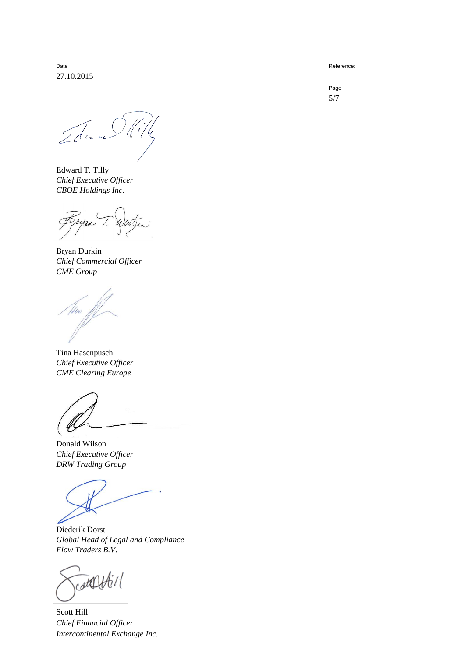Date **Reference:** 27.10.2015

Edward Will

Edward T. Tilly *Chief Executive Officer CBOE Holdings Inc.*

Bryan Durkin *Chief Commercial Officer CME Group*

Tina Hasenpusch *Chief Executive Officer CME Clearing Europe*

Donald Wilson *Chief Executive Officer DRW Trading Group*

 $\overline{\phantom{a}}$ 

Diederik Dorst *Global Head of Legal and Compliance Flow Traders B.V*.

Scott Hill *Chief Financial Officer Intercontinental Exchange Inc.*

Page 5/7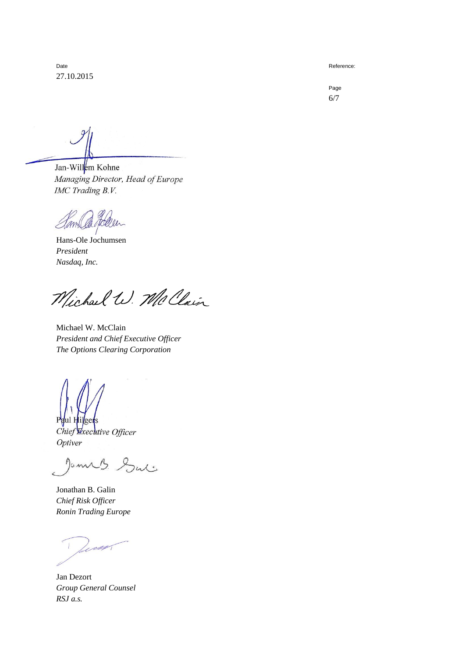Date **Reference:** 27.10.2015

Page 6/7

Jan-Willem Kohne Managing Director, Head of Europe IMC Trading B.V.

daller Jamil

Hans-Ole Jochumsen *President Nasdaq, Inc.*

Michael W. McClain

Michael W. McClain *President and Chief Executive Officer The Options Clearing Corporation*

 $P_{\theta}$ Chief Executive Officer Optiver

lames Sul

Jonathan B. Galin *Chief Risk Officer Ronin Trading Europe*

Jan Dezort *Group General Counsel RSJ a.s.*